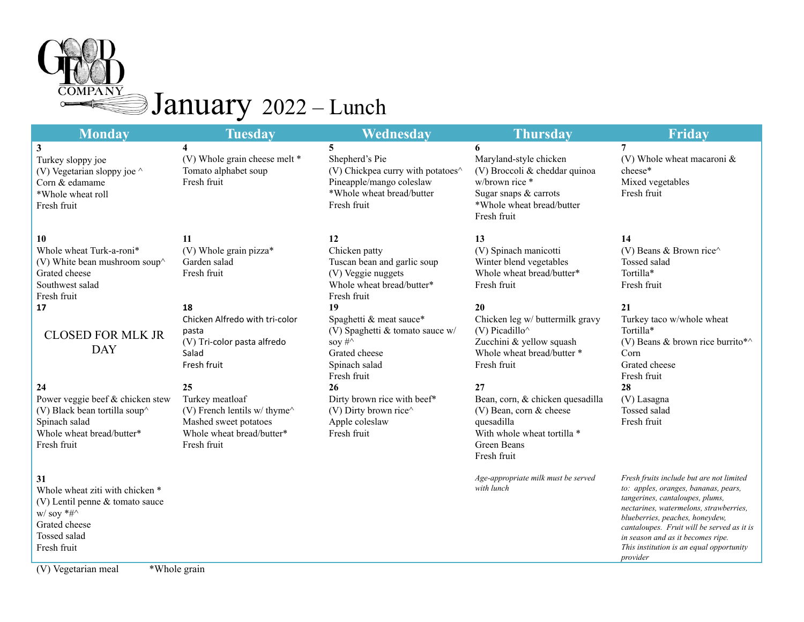

| <b>Monday</b>                                                                                                                        | <b>Tuesday</b>                                                                                                            | <b>Wednesday</b>                                                                                                                       | <b>Thursday</b>                                                                                                                                     | Friday                                                                                                                                                                                                                                         |
|--------------------------------------------------------------------------------------------------------------------------------------|---------------------------------------------------------------------------------------------------------------------------|----------------------------------------------------------------------------------------------------------------------------------------|-----------------------------------------------------------------------------------------------------------------------------------------------------|------------------------------------------------------------------------------------------------------------------------------------------------------------------------------------------------------------------------------------------------|
| 3<br>Turkey sloppy joe<br>(V) Vegetarian sloppy joe $\wedge$<br>Corn & edamame<br>*Whole wheat roll<br>Fresh fruit                   | 4<br>(V) Whole grain cheese melt *<br>Tomato alphabet soup<br>Fresh fruit                                                 | 5<br>Shepherd's Pie<br>(V) Chickpea curry with potatoes^<br>Pineapple/mango coleslaw<br>*Whole wheat bread/butter<br>Fresh fruit       | 6<br>Maryland-style chicken<br>(V) Broccoli & cheddar quinoa<br>w/brown rice *<br>Sugar snaps & carrots<br>*Whole wheat bread/butter<br>Fresh fruit | 7<br>(V) Whole wheat macaroni $\&$<br>cheese*<br>Mixed vegetables<br>Fresh fruit                                                                                                                                                               |
| 10<br>Whole wheat Turk-a-roni*<br>(V) White bean mushroom soup $\wedge$<br>Grated cheese<br>Southwest salad<br>Fresh fruit           | 11<br>(V) Whole grain pizza*<br>Garden salad<br>Fresh fruit                                                               | 12<br>Chicken patty<br>Tuscan bean and garlic soup<br>(V) Veggie nuggets<br>Whole wheat bread/butter*<br>Fresh fruit                   | 13<br>(V) Spinach manicotti<br>Winter blend vegetables<br>Whole wheat bread/butter*<br>Fresh fruit                                                  | 14<br>(V) Beans & Brown rice $\wedge$<br>Tossed salad<br>Tortilla*<br>Fresh fruit                                                                                                                                                              |
| 17<br><b>CLOSED FOR MLK JR</b><br><b>DAY</b>                                                                                         | 18<br>Chicken Alfredo with tri-color<br>pasta<br>(V) Tri-color pasta alfredo<br>Salad<br>Fresh fruit                      | 19<br>Spaghetti & meat sauce*<br>(V) Spaghetti & tomato sauce w/<br>soy $\#^{\wedge}$<br>Grated cheese<br>Spinach salad<br>Fresh fruit | 20<br>Chicken leg w/ buttermilk gravy<br>(V) Picadillo $\wedge$<br>Zucchini & yellow squash<br>Whole wheat bread/butter *<br>Fresh fruit            | 21<br>Turkey taco w/whole wheat<br>Tortilla*<br>(V) Beans & brown rice burrito*^<br>Corn<br>Grated cheese<br>Fresh fruit                                                                                                                       |
| 24<br>Power veggie beef & chicken stew<br>(V) Black bean tortilla soup^<br>Spinach salad<br>Whole wheat bread/butter*<br>Fresh fruit | 25<br>Turkey meatloaf<br>(V) French lentils w/thyme^<br>Mashed sweet potatoes<br>Whole wheat bread/butter*<br>Fresh fruit | 26<br>Dirty brown rice with beef*<br>(V) Dirty brown rice $\wedge$<br>Apple coleslaw<br>Fresh fruit                                    | 27<br>Bean, corn, & chicken quesadilla<br>(V) Bean, corn & cheese<br>quesadilla<br>With whole wheat tortilla *<br>Green Beans<br>Fresh fruit        | 28<br>(V) Lasagna<br>Tossed salad<br>Fresh fruit                                                                                                                                                                                               |
| 31<br>Whole wheat ziti with chicken *<br>(V) Lentil penne & tomato sauce<br>w/soy $*#^{\wedge}$<br>Grated cheese                     |                                                                                                                           |                                                                                                                                        | Age-appropriate milk must be served<br>with lunch                                                                                                   | Fresh fruits include but are not limited<br>to: apples, oranges, bananas, pears,<br>tangerines, cantaloupes, plums,<br>nectarines, watermelons, strawberries,<br>blueberries, peaches, honeydew,<br>cantaloupes. Fruit will be served as it is |

*in season and as it becomes ripe. This institution is an equal opportunity*

*provider*

(V) Vegetarian meal \*Whole grain

Tossed salad Fresh fruit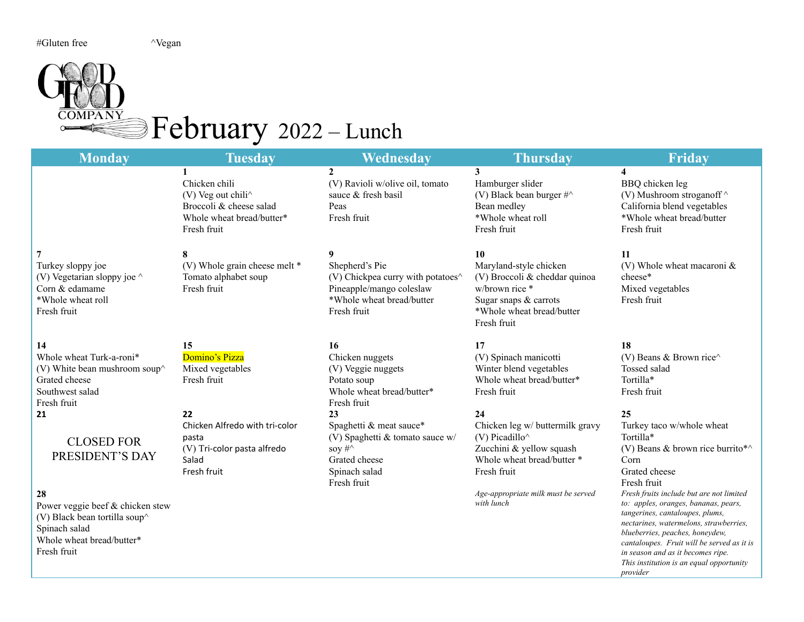## COMPANY Pebruary 2022 – Lunch

| <b>Monday</b>                                                                                                                                                                              | <b>Tuesday</b>                                                                                                                             | Wednesday                                                                                                                             | <b>Thursday</b>                                                                                                                                                                                 | <b>Friday</b>                                                                                                                                                                                                                                                                                                                                                                                                                                               |
|--------------------------------------------------------------------------------------------------------------------------------------------------------------------------------------------|--------------------------------------------------------------------------------------------------------------------------------------------|---------------------------------------------------------------------------------------------------------------------------------------|-------------------------------------------------------------------------------------------------------------------------------------------------------------------------------------------------|-------------------------------------------------------------------------------------------------------------------------------------------------------------------------------------------------------------------------------------------------------------------------------------------------------------------------------------------------------------------------------------------------------------------------------------------------------------|
|                                                                                                                                                                                            | Chicken chili<br>$(V)$ Veg out chili <sup><math>\wedge</math></sup><br>Broccoli & cheese salad<br>Whole wheat bread/butter*<br>Fresh fruit | $\mathbf{2}$<br>(V) Ravioli w/olive oil, tomato<br>sauce & fresh basil<br>Peas<br>Fresh fruit                                         | $\mathbf{3}$<br>Hamburger slider<br>(V) Black bean burger #^<br>Bean medley<br>*Whole wheat roll<br>Fresh fruit                                                                                 | $\overline{\mathbf{4}}$<br>BBQ chicken leg<br>(V) Mushroom stroganoff $\wedge$<br>California blend vegetables<br>*Whole wheat bread/butter<br>Fresh fruit                                                                                                                                                                                                                                                                                                   |
| Turkey sloppy joe<br>(V) Vegetarian sloppy joe $\wedge$<br>Corn & edamame<br>*Whole wheat roll<br>Fresh fruit                                                                              | 8<br>(V) Whole grain cheese melt *<br>Tomato alphabet soup<br>Fresh fruit                                                                  | 9<br>Shepherd's Pie<br>(V) Chickpea curry with potatoes^<br>Pineapple/mango coleslaw<br>*Whole wheat bread/butter<br>Fresh fruit      | 10<br>Maryland-style chicken<br>(V) Broccoli & cheddar quinoa<br>w/brown rice *<br>Sugar snaps $&$ carrots<br>*Whole wheat bread/butter<br>Fresh fruit                                          | 11<br>(V) Whole wheat macaroni $\&$<br>cheese*<br>Mixed vegetables<br>Fresh fruit                                                                                                                                                                                                                                                                                                                                                                           |
| 14<br>Whole wheat Turk-a-roni*<br>(V) White bean mushroom soup $\wedge$<br>Grated cheese<br>Southwest salad<br>Fresh fruit                                                                 | 15<br>Domino's Pizza<br>Mixed vegetables<br>Fresh fruit                                                                                    | 16<br>Chicken nuggets<br>(V) Veggie nuggets<br>Potato soup<br>Whole wheat bread/butter*<br>Fresh fruit                                | 17<br>(V) Spinach manicotti<br>Winter blend vegetables<br>Whole wheat bread/butter*<br>Fresh fruit                                                                                              | 18<br>(V) Beans & Brown rice $\wedge$<br>Tossed salad<br>Tortilla*<br>Fresh fruit                                                                                                                                                                                                                                                                                                                                                                           |
| 21<br><b>CLOSED FOR</b><br>PRESIDENT'S DAY<br>28<br>Power veggie beef & chicken stew<br>(V) Black bean tortilla soup $\wedge$<br>Spinach salad<br>Whole wheat bread/butter*<br>Fresh fruit | 22<br>Chicken Alfredo with tri-color<br>pasta<br>(V) Tri-color pasta alfredo<br>Salad<br>Fresh fruit                                       | 23<br>Spaghetti & meat sauce*<br>(V) Spaghetti & tomato sauce w/<br>soy $\#\uparrow$<br>Grated cheese<br>Spinach salad<br>Fresh fruit | 24<br>Chicken leg w/ buttermilk gravy<br>$(V)$ Picadillo $\wedge$<br>Zucchini & yellow squash<br>Whole wheat bread/butter *<br>Fresh fruit<br>Age-appropriate milk must be served<br>with lunch | 25<br>Turkey taco w/whole wheat<br>Tortilla*<br>(V) Beans & brown rice burrito*^<br>Corn<br>Grated cheese<br>Fresh fruit<br>Fresh fruits include but are not limited<br>to: apples, oranges, bananas, pears,<br>tangerines, cantaloupes, plums,<br>nectarines, watermelons, strawberries,<br>blueberries, peaches, honeydew,<br>cantaloupes. Fruit will be served as it is<br>in season and as it becomes ripe.<br>This institution is an equal opportunity |

*provider*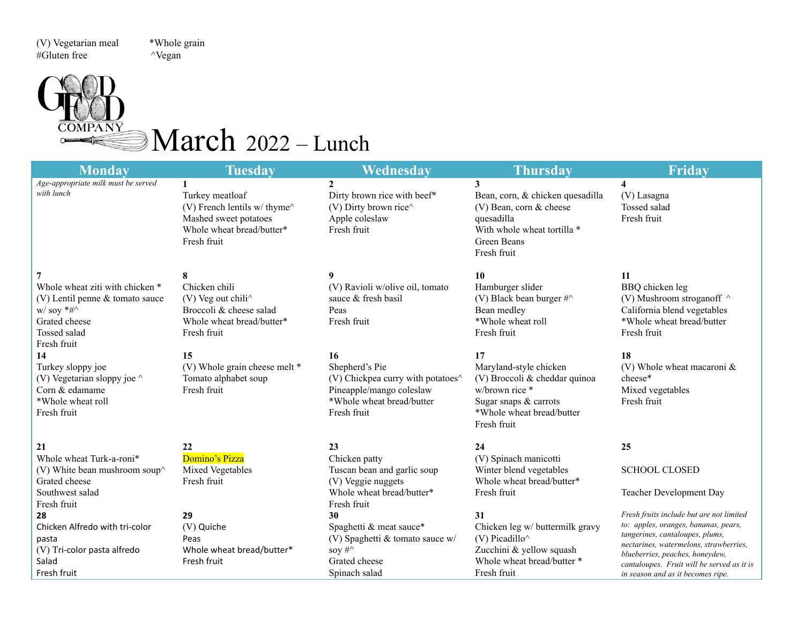(V) Vegetarian meal \*Whole grain #Gluten free ^Vegan

 $\circ$ 

### $March$  2022 – Lunch

| <b>Monday</b>                                                                                                                               | <b>Tuesday</b>                                                                                                                              | Wednesday                                                                                                                                                       | <b>Thursday</b>                                                                                                                                      | <b>Friday</b>                                                                                                                                                                                                                                                                       |
|---------------------------------------------------------------------------------------------------------------------------------------------|---------------------------------------------------------------------------------------------------------------------------------------------|-----------------------------------------------------------------------------------------------------------------------------------------------------------------|------------------------------------------------------------------------------------------------------------------------------------------------------|-------------------------------------------------------------------------------------------------------------------------------------------------------------------------------------------------------------------------------------------------------------------------------------|
| Age-appropriate milk must be served<br>with lunch                                                                                           | $\mathbf{1}$<br>Turkey meatloaf<br>(V) French lentils w/thyme $\hat{}$<br>Mashed sweet potatoes<br>Whole wheat bread/butter*<br>Fresh fruit | $\mathbf{2}$<br>Dirty brown rice with beef*<br>(V) Dirty brown rice^<br>Apple coleslaw<br>Fresh fruit                                                           | 3<br>Bean, corn, & chicken quesadilla<br>$(V)$ Bean, corn & cheese<br>quesadilla<br>With whole wheat tortilla *<br>Green Beans<br>Fresh fruit        | $\overline{\mathbf{4}}$<br>(V) Lasagna<br>Tossed salad<br>Fresh fruit                                                                                                                                                                                                               |
| Whole wheat ziti with chicken *<br>$(V)$ Lentil penne & tomato sauce<br>w/soy $*#^{\wedge}$<br>Grated cheese<br>Tossed salad<br>Fresh fruit | 8<br>Chicken chili<br>(V) Veg out chili $\wedge$<br>Broccoli & cheese salad<br>Whole wheat bread/butter*<br>Fresh fruit                     | 9<br>(V) Ravioli w/olive oil, tomato<br>sauce & fresh basil<br>Peas<br>Fresh fruit                                                                              | 10<br>Hamburger slider<br>(V) Black bean burger $\#^{\wedge}$<br>Bean medley<br>*Whole wheat roll<br>Fresh fruit                                     | 11<br>BBQ chicken leg<br>(V) Mushroom stroganoff $\wedge$<br>California blend vegetables<br>*Whole wheat bread/butter<br>Fresh fruit                                                                                                                                                |
| 14<br>Turkey sloppy joe<br>(V) Vegetarian sloppy joe $\wedge$<br>Corn & edamame<br>*Whole wheat roll<br>Fresh fruit                         | 15<br>(V) Whole grain cheese melt *<br>Tomato alphabet soup<br>Fresh fruit                                                                  | 16<br>Shepherd's Pie<br>(V) Chickpea curry with potatoes <sup><math>\wedge</math></sup><br>Pineapple/mango coleslaw<br>*Whole wheat bread/butter<br>Fresh fruit | 17<br>Maryland-style chicken<br>(V) Broccoli & cheddar quinoa<br>w/brown rice *<br>Sugar snaps & carrots<br>*Whole wheat bread/butter<br>Fresh fruit | 18<br>(V) Whole wheat macaroni $\&$<br>cheese*<br>Mixed vegetables<br>Fresh fruit                                                                                                                                                                                                   |
| 21<br>Whole wheat Turk-a-roni*<br>(V) White bean mushroom soup $\wedge$<br>Grated cheese                                                    | 22<br>Domino's Pizza<br>Mixed Vegetables<br>Fresh fruit                                                                                     | 23<br>Chicken patty<br>Tuscan bean and garlic soup<br>(V) Veggie nuggets                                                                                        | 24<br>(V) Spinach manicotti<br>Winter blend vegetables<br>Whole wheat bread/butter*                                                                  | 25<br><b>SCHOOL CLOSED</b>                                                                                                                                                                                                                                                          |
| Southwest salad<br>Fresh fruit                                                                                                              |                                                                                                                                             | Whole wheat bread/butter*<br>Fresh fruit                                                                                                                        | Fresh fruit                                                                                                                                          | Teacher Development Day                                                                                                                                                                                                                                                             |
| 28<br>Chicken Alfredo with tri-color<br>pasta<br>(V) Tri-color pasta alfredo<br>Salad<br>Fresh fruit                                        | 29<br>(V) Quiche<br>Peas<br>Whole wheat bread/butter*<br>Fresh fruit                                                                        | 30<br>Spaghetti & meat sauce*<br>(V) Spaghetti & tomato sauce w/<br>soy $\#\wedge$<br>Grated cheese<br>Spinach salad                                            | 31<br>Chicken leg w/ buttermilk gravy<br>(V) Picadillo $\wedge$<br>Zucchini & yellow squash<br>Whole wheat bread/butter *<br>Fresh fruit             | Fresh fruits include but are not limited<br>to: apples, oranges, bananas, pears,<br>tangerines, cantaloupes, plums,<br>nectarines, watermelons, strawberries,<br>blueberries, peaches, honeydew,<br>cantaloupes. Fruit will be served as it is<br>in season and as it becomes ripe. |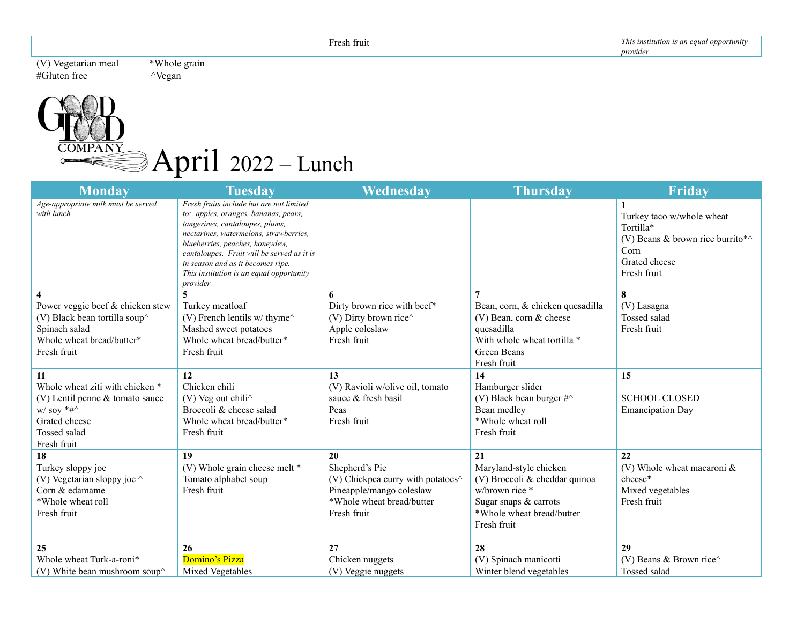(V) Vegetarian meal \*Whole grain<br>#Gluten free ^Vegan  $#G$ luten free



| <b>Monday</b>                                                                                                                               | <b>Tuesday</b>                                                                                                                                                                                                                                                                                                                              | Wednesday                                                                                                                          | <b>Thursday</b>                                                                                                                                  | <b>Friday</b>                                                                                                                   |
|---------------------------------------------------------------------------------------------------------------------------------------------|---------------------------------------------------------------------------------------------------------------------------------------------------------------------------------------------------------------------------------------------------------------------------------------------------------------------------------------------|------------------------------------------------------------------------------------------------------------------------------------|--------------------------------------------------------------------------------------------------------------------------------------------------|---------------------------------------------------------------------------------------------------------------------------------|
| Age-appropriate milk must be served<br>with lunch                                                                                           | Fresh fruits include but are not limited<br>to: apples, oranges, bananas, pears,<br>tangerines, cantaloupes, plums,<br>nectarines, watermelons, strawberries,<br>blueberries, peaches, honeydew,<br>cantaloupes. Fruit will be served as it is<br>in season and as it becomes ripe.<br>This institution is an equal opportunity<br>provider |                                                                                                                                    |                                                                                                                                                  | 1<br>Turkey taco w/whole wheat<br>Tortilla*<br>(V) Beans & brown rice burrito* $\wedge$<br>Corn<br>Grated cheese<br>Fresh fruit |
|                                                                                                                                             |                                                                                                                                                                                                                                                                                                                                             | 6                                                                                                                                  |                                                                                                                                                  | 8                                                                                                                               |
| Power veggie beef & chicken stew<br>(V) Black bean tortilla soup $\wedge$<br>Spinach salad<br>Whole wheat bread/butter*<br>Fresh fruit      | Turkey meatloaf<br>(V) French lentils w/thyme $\hat{}$<br>Mashed sweet potatoes<br>Whole wheat bread/butter*<br>Fresh fruit                                                                                                                                                                                                                 | Dirty brown rice with beef*<br>(V) Dirty brown rice^<br>Apple coleslaw<br>Fresh fruit                                              | Bean, corn, & chicken quesadilla<br>(V) Bean, corn & cheese<br>quesadilla<br>With whole wheat tortilla *<br>Green Beans<br>Fresh fruit           | (V) Lasagna<br><b>Tossed</b> salad<br>Fresh fruit                                                                               |
| 11                                                                                                                                          | 12                                                                                                                                                                                                                                                                                                                                          | 13                                                                                                                                 | 14                                                                                                                                               | 15                                                                                                                              |
| Whole wheat ziti with chicken *<br>$(V)$ Lentil penne & tomato sauce<br>w/soy $*#^{\wedge}$<br>Grated cheese<br>Tossed salad<br>Fresh fruit | Chicken chili<br>$(V)$ Veg out chili <sup><math>\wedge</math></sup><br>Broccoli & cheese salad<br>Whole wheat bread/butter*<br>Fresh fruit                                                                                                                                                                                                  | (V) Ravioli w/olive oil, tomato<br>sauce & fresh basil<br>Peas<br>Fresh fruit                                                      | Hamburger slider<br>(V) Black bean burger $\#^{\wedge}$<br>Bean medley<br>*Whole wheat roll<br>Fresh fruit                                       | <b>SCHOOL CLOSED</b><br><b>Emancipation Day</b>                                                                                 |
| 18                                                                                                                                          | 19                                                                                                                                                                                                                                                                                                                                          | 20                                                                                                                                 | 21                                                                                                                                               | 22                                                                                                                              |
| Turkey sloppy joe<br>(V) Vegetarian sloppy joe $\wedge$<br>Corn & edamame<br>*Whole wheat roll<br>Fresh fruit                               | (V) Whole grain cheese melt *<br>Tomato alphabet soup<br>Fresh fruit                                                                                                                                                                                                                                                                        | Shepherd's Pie<br>(V) Chickpea curry with potatoes $\land$<br>Pineapple/mango coleslaw<br>*Whole wheat bread/butter<br>Fresh fruit | Maryland-style chicken<br>(V) Broccoli & cheddar quinoa<br>w/brown rice *<br>Sugar snaps $&$ carrots<br>*Whole wheat bread/butter<br>Fresh fruit | (V) Whole wheat macaroni $\&$<br>cheese*<br>Mixed vegetables<br>Fresh fruit                                                     |
| 25                                                                                                                                          | 26                                                                                                                                                                                                                                                                                                                                          | 27                                                                                                                                 | 28                                                                                                                                               | 29                                                                                                                              |
| Whole wheat Turk-a-roni*                                                                                                                    | Domino's Pizza                                                                                                                                                                                                                                                                                                                              | Chicken nuggets                                                                                                                    | (V) Spinach manicotti                                                                                                                            | (V) Beans & Brown rice $\wedge$                                                                                                 |
| (V) White bean mushroom soup $\wedge$                                                                                                       | Mixed Vegetables                                                                                                                                                                                                                                                                                                                            | (V) Veggie nuggets                                                                                                                 | Winter blend vegetables                                                                                                                          | Tossed salad                                                                                                                    |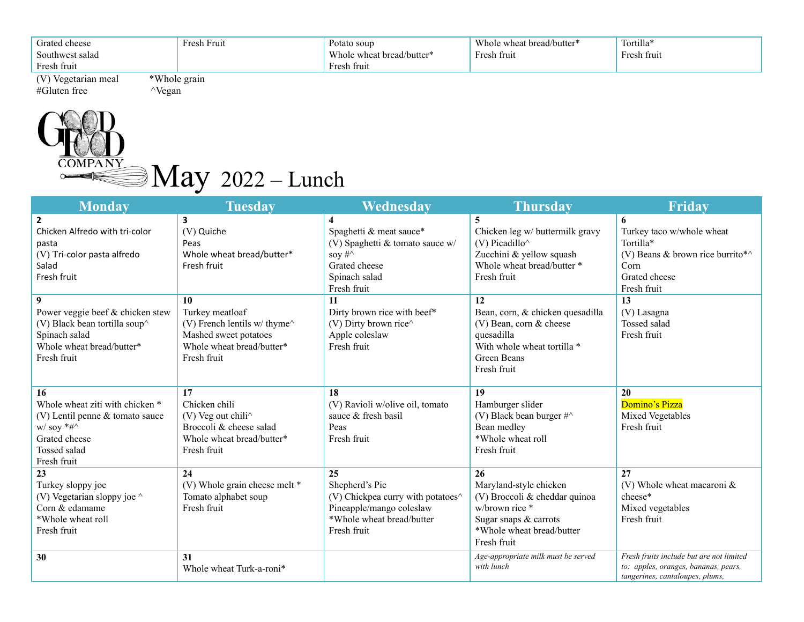| Grated cheese<br>Southwest salad | Fresh Fruit  | Potato soup<br>Whole wheat bread/butter* | Whole wheat bread/butter*<br>Fresh fruit | Tortilla*<br>Fresh fruit |
|----------------------------------|--------------|------------------------------------------|------------------------------------------|--------------------------|
| Fresh fruit                      |              | Fresh fruit                              |                                          |                          |
| (V) Vegetarian meal              | *Whole grain |                                          |                                          |                          |



| <b>Monday</b>                      | <b>Tuesday</b>                | Wednesday                                                      | <b>Thursday</b>                     | Friday                                                                  |
|------------------------------------|-------------------------------|----------------------------------------------------------------|-------------------------------------|-------------------------------------------------------------------------|
| $\overline{2}$                     | 3                             | 4                                                              | 5                                   | 6                                                                       |
| Chicken Alfredo with tri-color     | (V) Quiche                    | Spaghetti & meat sauce*                                        | Chicken leg w/ buttermilk gravy     | Turkey taco w/whole wheat                                               |
| pasta                              | Peas                          | (V) Spaghetti & tomato sauce w/                                | (V) Picadillo $\wedge$              | Tortilla*                                                               |
| (V) Tri-color pasta alfredo        | Whole wheat bread/butter*     | soy $\#\wedge$                                                 | Zucchini & yellow squash            | (V) Beans & brown rice burrito* $\wedge$                                |
| Salad                              | Fresh fruit                   | Grated cheese                                                  | Whole wheat bread/butter *          | Corn                                                                    |
| Fresh fruit                        |                               | Spinach salad                                                  | Fresh fruit                         | Grated cheese                                                           |
|                                    |                               | Fresh fruit                                                    |                                     | Fresh fruit                                                             |
| 9                                  | 10                            | 11                                                             | 12                                  | 13                                                                      |
| Power veggie beef & chicken stew   | Turkey meatloaf               | Dirty brown rice with beef*                                    | Bean, corn, & chicken quesadilla    | (V) Lasagna                                                             |
| (V) Black bean tortilla soup^      | (V) French lentils w/ thyme^  | (V) Dirty brown rice $\wedge$                                  | $(V)$ Bean, corn & cheese           | Tossed salad                                                            |
| Spinach salad                      | Mashed sweet potatoes         | Apple coleslaw                                                 | quesadilla                          | Fresh fruit                                                             |
| Whole wheat bread/butter*          | Whole wheat bread/butter*     | Fresh fruit                                                    | With whole wheat tortilla *         |                                                                         |
| Fresh fruit                        | Fresh fruit                   |                                                                | <b>Green Beans</b>                  |                                                                         |
|                                    |                               |                                                                | Fresh fruit                         |                                                                         |
| 16                                 | 17                            | 18                                                             | 19                                  | 20                                                                      |
| Whole wheat ziti with chicken *    | Chicken chili                 | (V) Ravioli w/olive oil, tomato                                | Hamburger slider                    | Domino's Pizza                                                          |
| (V) Lentil penne & tomato sauce    | (V) Veg out chili^            | sauce & fresh basil                                            | (V) Black bean burger $\#^{\wedge}$ | Mixed Vegetables                                                        |
| $w /$ soy *#^                      | Broccoli & cheese salad       | Peas                                                           | Bean medley                         | Fresh fruit                                                             |
| Grated cheese                      | Whole wheat bread/butter*     | Fresh fruit                                                    | *Whole wheat roll                   |                                                                         |
| <b>Tossed</b> salad                | Fresh fruit                   |                                                                | Fresh fruit                         |                                                                         |
| Fresh fruit                        |                               |                                                                |                                     |                                                                         |
| 23                                 | 24                            | 25                                                             | 26                                  | 27                                                                      |
| Turkey sloppy joe                  | (V) Whole grain cheese melt * | Shepherd's Pie                                                 | Maryland-style chicken              | (V) Whole wheat macaroni $\&$                                           |
| (V) Vegetarian sloppy joe $\wedge$ | Tomato alphabet soup          | (V) Chickpea curry with potatoes <sup><math>\land</math></sup> | (V) Broccoli & cheddar quinoa       | cheese*                                                                 |
| Corn & edamame                     | Fresh fruit                   | Pineapple/mango coleslaw                                       | w/brown rice *                      | Mixed vegetables                                                        |
| *Whole wheat roll                  |                               | *Whole wheat bread/butter                                      | Sugar snaps & carrots               | Fresh fruit                                                             |
| Fresh fruit                        |                               | Fresh fruit                                                    | *Whole wheat bread/butter           |                                                                         |
|                                    |                               |                                                                | Fresh fruit                         |                                                                         |
| 30                                 | 31                            |                                                                | Age-appropriate milk must be served | Fresh fruits include but are not limited                                |
|                                    | Whole wheat Turk-a-roni*      |                                                                | with lunch                          | to: apples, oranges, bananas, pears,<br>tangerines, cantaloupes, plums, |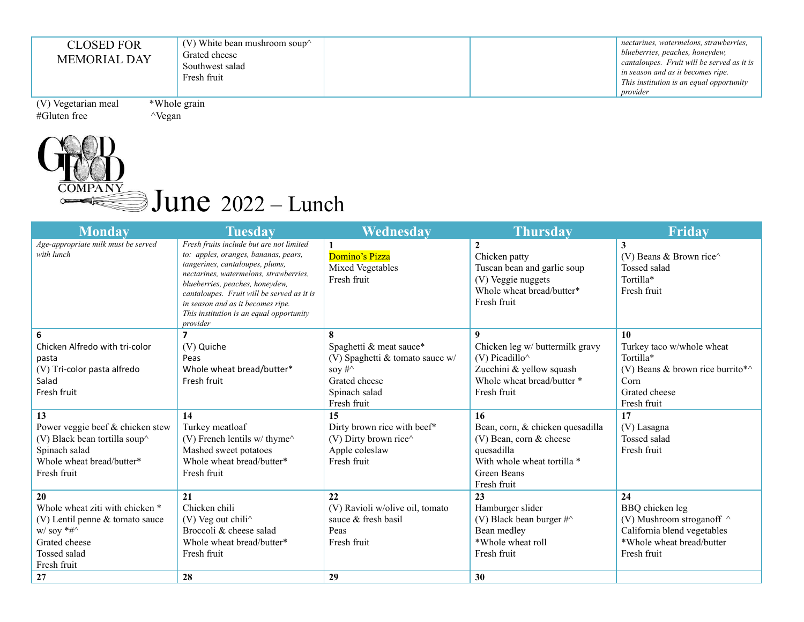| cantaloupes. Fruit will be served as it is<br>in season and as it becomes ripe.<br>This institution is an equal opportunity<br>provider |
|-----------------------------------------------------------------------------------------------------------------------------------------|
|                                                                                                                                         |
|                                                                                                                                         |

## $\overline{\text{COMPANY}}$  June 2022 – Lunch

| <b>Monday</b>                                                                                                                                                                                                           | <b>Tuesday</b>                                                                                                                                                                                                                                                                                                                              | Wednesday                                                                                                                                                                                                                                | <b>Thursday</b>                                                                                                                                                                                                                                                 | <b>Friday</b>                                                                                                                                                                  |
|-------------------------------------------------------------------------------------------------------------------------------------------------------------------------------------------------------------------------|---------------------------------------------------------------------------------------------------------------------------------------------------------------------------------------------------------------------------------------------------------------------------------------------------------------------------------------------|------------------------------------------------------------------------------------------------------------------------------------------------------------------------------------------------------------------------------------------|-----------------------------------------------------------------------------------------------------------------------------------------------------------------------------------------------------------------------------------------------------------------|--------------------------------------------------------------------------------------------------------------------------------------------------------------------------------|
| Age-appropriate milk must be served<br>with lunch                                                                                                                                                                       | Fresh fruits include but are not limited<br>to: apples, oranges, bananas, pears,<br>tangerines, cantaloupes, plums,<br>nectarines, watermelons, strawberries,<br>blueberries, peaches, honeydew,<br>cantaloupes. Fruit will be served as it is<br>in season and as it becomes ripe.<br>This institution is an equal opportunity<br>provider | Domino's Pizza<br>Mixed Vegetables<br>Fresh fruit                                                                                                                                                                                        | $\overline{2}$<br>Chicken patty<br>Tuscan bean and garlic soup<br>(V) Veggie nuggets<br>Whole wheat bread/butter*<br>Fresh fruit                                                                                                                                | 3<br>(V) Beans & Brown rice $\wedge$<br>Tossed salad<br>Tortilla*<br>Fresh fruit                                                                                               |
|                                                                                                                                                                                                                         | 7                                                                                                                                                                                                                                                                                                                                           |                                                                                                                                                                                                                                          | 9                                                                                                                                                                                                                                                               | 10                                                                                                                                                                             |
| Chicken Alfredo with tri-color<br>pasta<br>(V) Tri-color pasta alfredo<br>Salad<br>Fresh fruit<br>13<br>Power veggie beef & chicken stew<br>(V) Black bean tortilla soup^<br>Spinach salad<br>Whole wheat bread/butter* | (V) Quiche<br>Peas<br>Whole wheat bread/butter*<br>Fresh fruit<br>14<br>Turkey meatloaf<br>(V) French lentils w/thyme^<br>Mashed sweet potatoes<br>Whole wheat bread/butter*                                                                                                                                                                | Spaghetti & meat sauce*<br>(V) Spaghetti & tomato sauce $w/$<br>soy $\#\uparrow$<br>Grated cheese<br>Spinach salad<br>Fresh fruit<br>15<br>Dirty brown rice with beef*<br>(V) Dirty brown rice $\wedge$<br>Apple coleslaw<br>Fresh fruit | Chicken leg w/ buttermilk gravy<br>$(V)$ Picadillo $\wedge$<br>Zucchini & yellow squash<br>Whole wheat bread/butter *<br>Fresh fruit<br><b>16</b><br>Bean, corn, & chicken quesadilla<br>$(V)$ Bean, corn & cheese<br>quesadilla<br>With whole wheat tortilla * | Turkey taco w/whole wheat<br>Tortilla*<br>(V) Beans & brown rice burrito* $\wedge$<br>Corn<br>Grated cheese<br>Fresh fruit<br>17<br>(V) Lasagna<br>Tossed salad<br>Fresh fruit |
| Fresh fruit                                                                                                                                                                                                             | Fresh fruit                                                                                                                                                                                                                                                                                                                                 |                                                                                                                                                                                                                                          | Green Beans<br>Fresh fruit                                                                                                                                                                                                                                      |                                                                                                                                                                                |
| 20<br>Whole wheat ziti with chicken *<br>(V) Lentil penne & tomato sauce<br>$W/$ soy *#^<br>Grated cheese<br>Tossed salad<br>Fresh fruit                                                                                | 21<br>Chicken chili<br>(V) Veg out chili^<br>Broccoli & cheese salad<br>Whole wheat bread/butter*<br>Fresh fruit                                                                                                                                                                                                                            | 22<br>(V) Ravioli w/olive oil, tomato<br>sauce & fresh basil<br>Peas<br>Fresh fruit                                                                                                                                                      | 23<br>Hamburger slider<br>(V) Black bean burger $\#^{\wedge}$<br>Bean medley<br>*Whole wheat roll<br>Fresh fruit                                                                                                                                                | 24<br>BBQ chicken leg<br>(V) Mushroom stroganoff $\wedge$<br>California blend vegetables<br>*Whole wheat bread/butter<br>Fresh fruit                                           |
| 27                                                                                                                                                                                                                      | 28                                                                                                                                                                                                                                                                                                                                          | 29                                                                                                                                                                                                                                       | 30                                                                                                                                                                                                                                                              |                                                                                                                                                                                |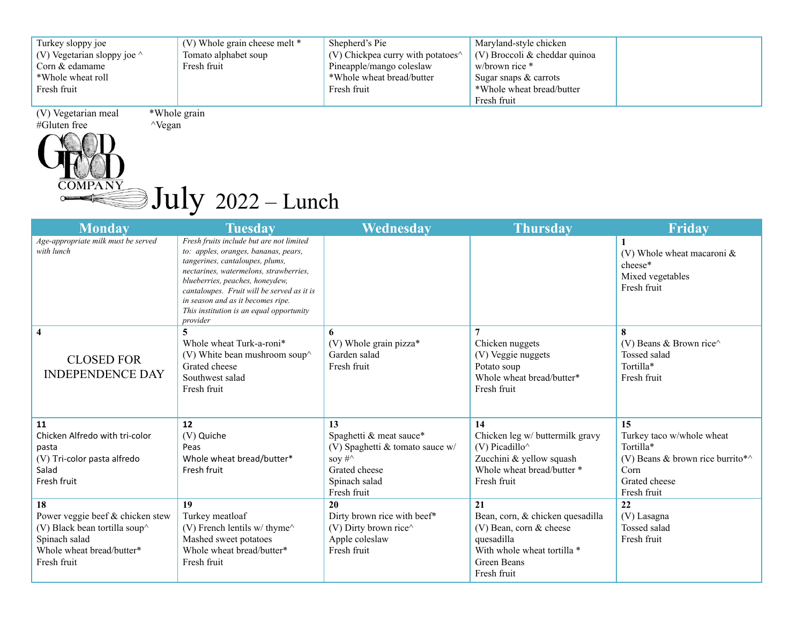| Turkey sloppy joe                  | $(V)$ Whole grain cheese melt $*$ | Shepherd's Pie                                                    | Maryland-style chicken          |  |
|------------------------------------|-----------------------------------|-------------------------------------------------------------------|---------------------------------|--|
| (V) Vegetarian sloppy joe $\wedge$ | Tomato alphabet soup              | $(V)$ Chickpea curry with potatoes <sup><math>\wedge</math></sup> | $(V)$ Broccoli & cheddar quinoa |  |
| Corn & edamame                     | Fresh fruit                       | Pineapple/mango coleslaw                                          | w/brown rice $*$                |  |
| *Whole wheat roll                  |                                   | *Whole wheat bread/butter                                         | Sugar snaps $\&$ carrots        |  |
| Fresh fruit                        |                                   | Fresh fruit                                                       | *Whole wheat bread/butter       |  |
|                                    |                                   |                                                                   | Fresh fruit                     |  |

(V) Vegetarian meal \*Whole grain

 $\circ$ 

#### **COMPANY** July <sup>2022</sup> – Lunch

| <b>Monday</b>                                                                                                                                    | <b>Tuesday</b>                                                                                                                                                                                                                                                                                                                              | Wednesday                                                                                                                             | <b>Thursday</b>                                                                                                                                                  | <b>Friday</b>                                                                                                                    |
|--------------------------------------------------------------------------------------------------------------------------------------------------|---------------------------------------------------------------------------------------------------------------------------------------------------------------------------------------------------------------------------------------------------------------------------------------------------------------------------------------------|---------------------------------------------------------------------------------------------------------------------------------------|------------------------------------------------------------------------------------------------------------------------------------------------------------------|----------------------------------------------------------------------------------------------------------------------------------|
| Age-appropriate milk must be served<br>with lunch                                                                                                | Fresh fruits include but are not limited<br>to: apples, oranges, bananas, pears,<br>tangerines, cantaloupes, plums,<br>nectarines, watermelons, strawberries,<br>blueberries, peaches, honeydew,<br>cantaloupes. Fruit will be served as it is<br>in season and as it becomes ripe.<br>This institution is an equal opportunity<br>provider |                                                                                                                                       |                                                                                                                                                                  | (V) Whole wheat macaroni $\&$<br>cheese*<br>Mixed vegetables<br>Fresh fruit                                                      |
| $\overline{4}$<br><b>CLOSED FOR</b><br><b>INDEPENDENCE DAY</b>                                                                                   | Whole wheat Turk-a-roni*<br>(V) White bean mushroom soup $\wedge$<br>Grated cheese<br>Southwest salad<br>Fresh fruit                                                                                                                                                                                                                        | 6<br>(V) Whole grain pizza*<br>Garden salad<br>Fresh fruit                                                                            | Chicken nuggets<br>(V) Veggie nuggets<br>Potato soup<br>Whole wheat bread/butter*<br>Fresh fruit                                                                 | 8<br>(V) Beans & Brown rice $\wedge$<br>Tossed salad<br>Tortilla*<br>Fresh fruit                                                 |
| 11<br>Chicken Alfredo with tri-color<br>pasta<br>(V) Tri-color pasta alfredo<br>Salad<br>Fresh fruit                                             | 12<br>(V) Quiche<br>Peas<br>Whole wheat bread/butter*<br>Fresh fruit                                                                                                                                                                                                                                                                        | 13<br>Spaghetti & meat sauce*<br>(V) Spaghetti & tomato sauce $w/$<br>soy $\#\wedge$<br>Grated cheese<br>Spinach salad<br>Fresh fruit | 14<br>Chicken leg w/ buttermilk gravy<br>$(V)$ Picadillo <sup><math>\wedge</math></sup><br>Zucchini & yellow squash<br>Whole wheat bread/butter *<br>Fresh fruit | 15<br>Turkey taco w/whole wheat<br>Tortilla*<br>(V) Beans & brown rice burrito* $\wedge$<br>Corn<br>Grated cheese<br>Fresh fruit |
| 18<br>Power veggie beef & chicken stew<br>(V) Black bean tortilla soup <sup>^</sup><br>Spinach salad<br>Whole wheat bread/butter*<br>Fresh fruit | 19<br>Turkey meatloaf<br>(V) French lentils $w/$ thyme <sup><math>\wedge</math></sup><br>Mashed sweet potatoes<br>Whole wheat bread/butter*<br>Fresh fruit                                                                                                                                                                                  | 20<br>Dirty brown rice with beef*<br>(V) Dirty brown rice $\wedge$<br>Apple coleslaw<br>Fresh fruit                                   | 21<br>Bean, corn, & chicken quesadilla<br>$(V)$ Bean, corn & cheese<br>quesadilla<br>With whole wheat tortilla *<br>Green Beans<br>Fresh fruit                   | 22<br>(V) Lasagna<br>Tossed salad<br>Fresh fruit                                                                                 |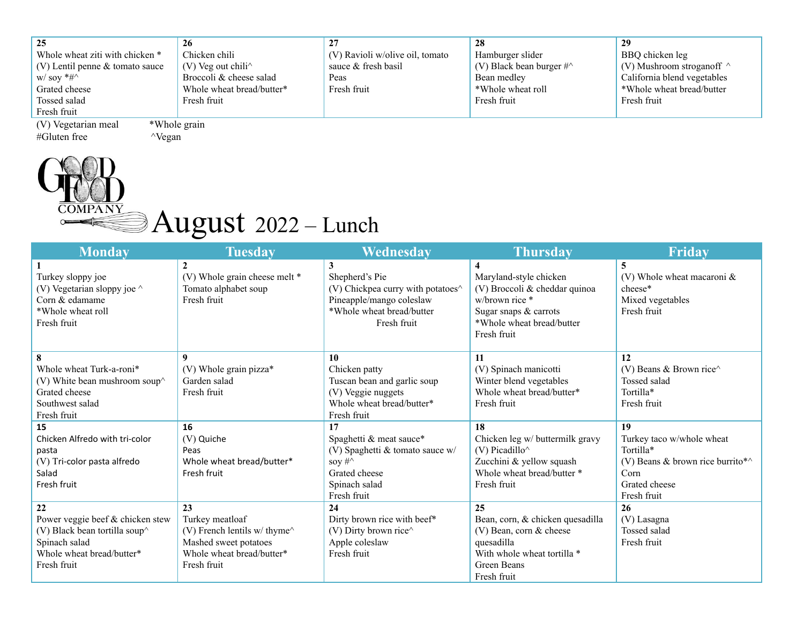| 25                                | 26                                                 |                                 | 28                                  | 29                               |
|-----------------------------------|----------------------------------------------------|---------------------------------|-------------------------------------|----------------------------------|
| Whole wheat ziti with chicken *   | Chicken chili                                      | (V) Ravioli w/olive oil, tomato | Hamburger slider                    | BBO chicken leg                  |
| $(V)$ Lentil penne & tomato sauce | $(V)$ Veg out chili <sup><math>\wedge</math></sup> | sauce & fresh basil             | (V) Black bean burger $\#^{\wedge}$ | (V) Mushroom stroganoff $\wedge$ |
| $W/$ soy $*$ # $\wedge$           | Broccoli & cheese salad                            | Peas                            | Bean medley                         | California blend vegetables      |
| Grated cheese                     | Whole wheat bread/butter*                          | Fresh fruit                     | *Whole wheat roll                   | *Whole wheat bread/butter        |
| Tossed salad                      | Fresh fruit                                        |                                 | Fresh fruit                         | Fresh fruit                      |
| Fresh fruit                       |                                                    |                                 |                                     |                                  |

(V) Vegetarian meal \*Whole grain #Gluten free ^Vegan



# **PANY** August 2022 – Lunch

| <b>Monday</b>                         | <b>Tuesday</b>                                               | <b>Wednesday</b>                          | <b>Thursday</b>                                | Friday                                   |
|---------------------------------------|--------------------------------------------------------------|-------------------------------------------|------------------------------------------------|------------------------------------------|
| Turkey sloppy joe                     | (V) Whole grain cheese melt *                                | $\mathbf{3}$<br>Shepherd's Pie            | 4<br>Maryland-style chicken                    | 5<br>(V) Whole wheat macaroni $\&$       |
| (V) Vegetarian sloppy joe $\wedge$    | Tomato alphabet soup                                         | (V) Chickpea curry with potatoes $\wedge$ | (V) Broccoli & cheddar quinoa                  | cheese*                                  |
| Corn & edamame                        | Fresh fruit                                                  | Pineapple/mango coleslaw                  | w/brown rice *                                 | Mixed vegetables                         |
| *Whole wheat roll                     |                                                              | *Whole wheat bread/butter                 | Sugar snaps & carrots                          | Fresh fruit                              |
| Fresh fruit                           |                                                              | Fresh fruit                               | *Whole wheat bread/butter                      |                                          |
|                                       |                                                              |                                           | Fresh fruit                                    |                                          |
| 8                                     | $\mathbf Q$                                                  | 10                                        | 11                                             | 12                                       |
| Whole wheat Turk-a-roni*              | (V) Whole grain pizza*                                       | Chicken patty                             | (V) Spinach manicotti                          | (V) Beans & Brown rice $\wedge$          |
| (V) White bean mushroom soup $\wedge$ | Garden salad                                                 | Tuscan bean and garlic soup               | Winter blend vegetables                        | Tossed salad                             |
| Grated cheese                         | Fresh fruit                                                  | (V) Veggie nuggets                        | Whole wheat bread/butter*                      | Tortilla*                                |
| Southwest salad                       |                                                              | Whole wheat bread/butter*                 | Fresh fruit                                    | Fresh fruit                              |
| Fresh fruit                           |                                                              | Fresh fruit                               |                                                |                                          |
| 15                                    | 16                                                           | 17                                        | 18                                             | 19                                       |
| Chicken Alfredo with tri-color        | (V) Quiche                                                   | Spaghetti & meat sauce*                   | Chicken leg w/ buttermilk gravy                | Turkey taco w/whole wheat                |
| pasta                                 | Peas                                                         | (V) Spaghetti & tomato sauce w/           | $(V)$ Picadillo <sup><math>\wedge</math></sup> | Tortilla*                                |
| (V) Tri-color pasta alfredo           | Whole wheat bread/butter*                                    | soy $\#^{\wedge}$                         | Zucchini & yellow squash                       | (V) Beans & brown rice burrito* $\wedge$ |
| Salad                                 | Fresh fruit                                                  | Grated cheese                             | Whole wheat bread/butter *                     | Corn                                     |
| Fresh fruit                           |                                                              | Spinach salad<br>Fresh fruit              | Fresh fruit                                    | Grated cheese<br>Fresh fruit             |
| 22                                    | 23                                                           | 24                                        | 25                                             | 26                                       |
| Power veggie beef & chicken stew      | Turkey meatloaf                                              | Dirty brown rice with beef*               | Bean, corn, & chicken quesadilla               | (V) Lasagna                              |
| (V) Black bean tortilla soup $\wedge$ | (V) French lentils $w/$ thyme <sup><math>\wedge</math></sup> | (V) Dirty brown rice $\wedge$             | $(V)$ Bean, corn & cheese                      | <b>Tossed salad</b>                      |
| Spinach salad                         | Mashed sweet potatoes                                        | Apple coleslaw                            | quesadilla                                     | Fresh fruit                              |
| Whole wheat bread/butter*             | Whole wheat bread/butter*                                    | Fresh fruit                               | With whole wheat tortilla *                    |                                          |
| Fresh fruit                           | Fresh fruit                                                  |                                           | Green Beans                                    |                                          |
|                                       |                                                              |                                           | Fresh fruit                                    |                                          |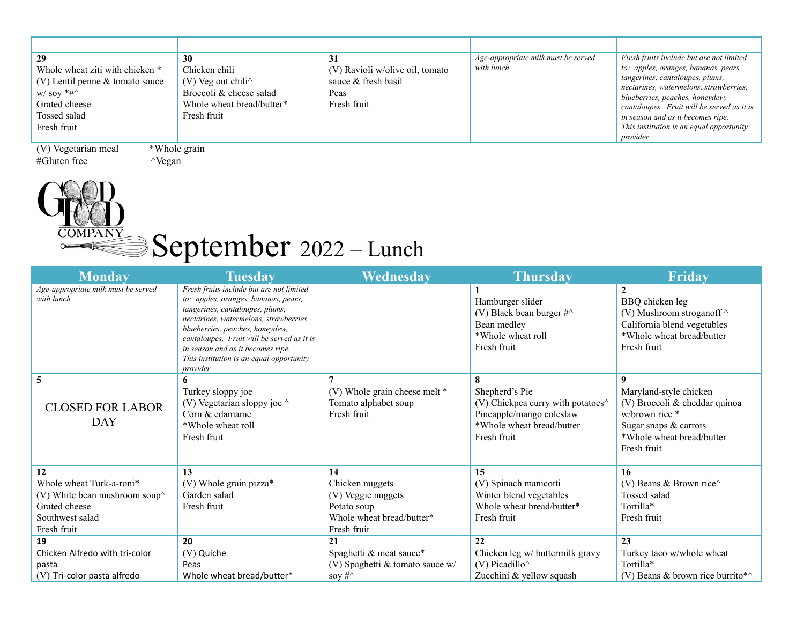| 29<br>Whole wheat ziti with chicken *<br>$(V)$ Lentil penne & tomato sauce<br>$W/$ soy $*$ # $\wedge$<br>Grated cheese<br>Tossed salad<br>Fresh fruit | 30<br>Chicken chili<br>$(V)$ Veg out chili <sup><math>\wedge</math></sup><br>Broccoli & cheese salad<br>Whole wheat bread/butter*<br>Fresh fruit | 31<br>(V) Ravioli w/olive oil, tomato<br>sauce & fresh basil<br>Peas<br>Fresh fruit | Age-appropriate milk must be served<br>with lunch | Fresh fruits include but are not limited<br>to: apples, oranges, bananas, pears,<br>tangerines, cantaloupes, plums,<br>nectarines, watermelons, strawberries,<br>blueberries, peaches, honeydew,<br>cantaloupes. Fruit will be served as it is<br>in season and as it becomes ripe.<br>This institution is an equal opportunity<br>provider |  |  |  |
|-------------------------------------------------------------------------------------------------------------------------------------------------------|--------------------------------------------------------------------------------------------------------------------------------------------------|-------------------------------------------------------------------------------------|---------------------------------------------------|---------------------------------------------------------------------------------------------------------------------------------------------------------------------------------------------------------------------------------------------------------------------------------------------------------------------------------------------|--|--|--|
| *Whole grain<br>(V) Vegetarian meal                                                                                                                   |                                                                                                                                                  |                                                                                     |                                                   |                                                                                                                                                                                                                                                                                                                                             |  |  |  |



### September 2022 – Lunch

| <b>Monday</b>                                                                                                              | <b>Tuesday</b>                                                                                                                                                                                                                                                                                                                              | Wednesday                                                                                              | <b>Thursday</b>                                                                                                             | <b>Friday</b>                                                                                                                                       |
|----------------------------------------------------------------------------------------------------------------------------|---------------------------------------------------------------------------------------------------------------------------------------------------------------------------------------------------------------------------------------------------------------------------------------------------------------------------------------------|--------------------------------------------------------------------------------------------------------|-----------------------------------------------------------------------------------------------------------------------------|-----------------------------------------------------------------------------------------------------------------------------------------------------|
| Age-appropriate milk must be served<br>with lunch                                                                          | Fresh fruits include but are not limited<br>to: apples, oranges, bananas, pears,<br>tangerines, cantaloupes, plums,<br>nectarines, watermelons, strawberries,<br>blueberries, peaches, honeydew,<br>cantaloupes. Fruit will be served as it is<br>in season and as it becomes ripe.<br>This institution is an equal opportunity<br>provider |                                                                                                        | Hamburger slider<br>(V) Black bean burger $\#^{\wedge}$<br>Bean medley<br>*Whole wheat roll<br>Fresh fruit                  | BBQ chicken leg<br>(V) Mushroom stroganoff ^<br>California blend vegetables<br>*Whole wheat bread/butter<br>Fresh fruit                             |
| 5<br><b>CLOSED FOR LABOR</b><br><b>DAY</b>                                                                                 | 6<br>Turkey sloppy joe<br>(V) Vegetarian sloppy joe $\wedge$<br>Corn & edamame<br>*Whole wheat roll<br>Fresh fruit                                                                                                                                                                                                                          | $\overline{ }$<br>(V) Whole grain cheese melt *<br>Tomato alphabet soup<br>Fresh fruit                 | Shepherd's Pie<br>(V) Chickpea curry with potatoes^<br>Pineapple/mango coleslaw<br>*Whole wheat bread/butter<br>Fresh fruit | Q<br>Maryland-style chicken<br>(V) Broccoli & cheddar quinoa<br>w/brown rice *<br>Sugar snaps & carrots<br>*Whole wheat bread/butter<br>Fresh fruit |
| 12<br>Whole wheat Turk-a-roni*<br>(V) White bean mushroom soup $\wedge$<br>Grated cheese<br>Southwest salad<br>Fresh fruit | 13<br>(V) Whole grain pizza*<br>Garden salad<br>Fresh fruit                                                                                                                                                                                                                                                                                 | 14<br>Chicken nuggets<br>(V) Veggie nuggets<br>Potato soup<br>Whole wheat bread/butter*<br>Fresh fruit | 15<br>(V) Spinach manicotti<br>Winter blend vegetables<br>Whole wheat bread/butter*<br>Fresh fruit                          | 16<br>(V) Beans & Brown rice $\wedge$<br>Tossed salad<br>Tortilla*<br>Fresh fruit                                                                   |
| 19<br>Chicken Alfredo with tri-color<br>pasta<br>(V) Tri-color pasta alfredo                                               | 20<br>(V) Quiche<br>Peas<br>Whole wheat bread/butter*                                                                                                                                                                                                                                                                                       | 21<br>Spaghetti & meat sauce*<br>(V) Spaghetti & tomato sauce $w/$<br>soy $\#^{\wedge}$                | 22<br>Chicken leg w/ buttermilk gravy<br>$(V)$ Picadillo <sup><math>\wedge</math></sup><br>Zucchini & yellow squash         | 23<br>Turkey taco w/whole wheat<br>Tortilla*<br>(V) Beans & brown rice burrito* $\wedge$                                                            |